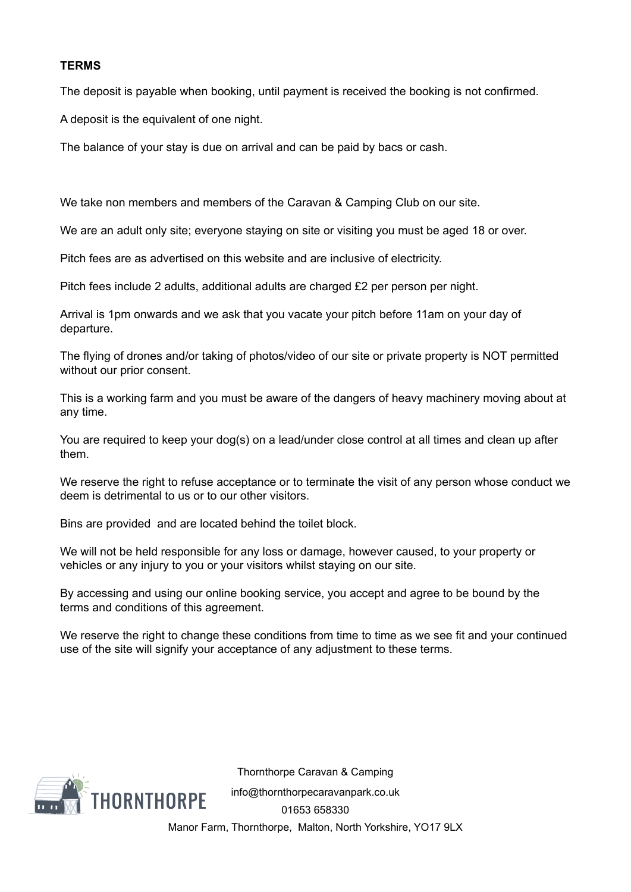## **TERMS**

The deposit is payable when booking, until payment is received the booking is not confirmed.

A deposit is the equivalent of one night.

The balance of your stay is due on arrival and can be paid by bacs or cash.

We take non members and members of the Caravan & Camping Club on our site.

We are an adult only site; everyone staying on site or visiting you must be aged 18 or over.

Pitch fees are as advertised on this website and are inclusive of electricity.

Pitch fees include 2 adults, additional adults are charged £2 per person per night.

Arrival is 1pm onwards and we ask that you vacate your pitch before 11am on your day of departure.

The flying of drones and/or taking of photos/video of our site or private property is NOT permitted without our prior consent.

This is a working farm and you must be aware of the dangers of heavy machinery moving about at any time.

You are required to keep your dog(s) on a lead/under close control at all times and clean up after them.

We reserve the right to refuse acceptance or to terminate the visit of any person whose conduct we deem is detrimental to us or to our other visitors.

Bins are provided and are located behind the toilet block.

We will not be held responsible for any loss or damage, however caused, to your property or vehicles or any injury to you or your visitors whilst staying on our site.

By accessing and using our online booking service, you accept and agree to be bound by the terms and conditions of this agreement.

We reserve the right to change these conditions from time to time as we see fit and your continued use of the site will signify your acceptance of any adjustment to these terms.



Thornthorpe Caravan & Camping [info@thornthorpecaravanpark.co.uk](mailto:info@thornthorpecaravanpark.co.uk) [01653 658330](tel:01653%20658330) Manor Farm, Thornthorpe, Malton, North Yorkshire, YO17 9LX